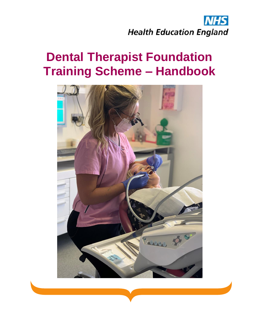

# **Dental Therapist Foundation Training Scheme – Handbook**

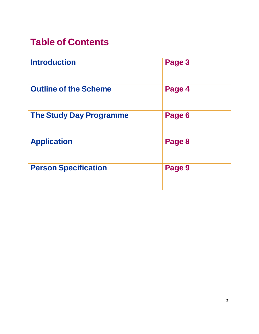## **Table of Contents**

| <b>Introduction</b>            | Page 3 |
|--------------------------------|--------|
| <b>Outline of the Scheme</b>   | Page 4 |
| <b>The Study Day Programme</b> | Page 6 |
| <b>Application</b>             | Page 8 |
| <b>Person Specification</b>    | Page 9 |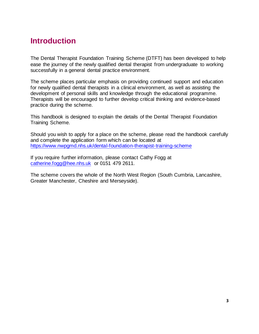### <span id="page-2-0"></span>**Introduction**

The Dental Therapist Foundation Training Scheme (DTFT) has been developed to help ease the journey of the newly qualified dental therapist from undergraduate to working successfully in a general dental practice environment.

The scheme places particular emphasis on providing continued support and education for newly qualified dental therapists in a clinical environment, as well as assisting the development of personal skills and knowledge through the educational programme. Therapists will be encouraged to further develop critical thinking and evidence-based practice during the scheme.

This handbook is designed to explain the details of the Dental Therapist Foundation Training Scheme.

Should you wish to apply for a place on the scheme, please read the handbook carefully and complete the application form which can be located at <https://www.nwpgmd.nhs.uk/dental-foundation-therapist-training-scheme>

If you require further information, please contact Cathy Fogg at [catherine.fogg@hee.nhs.uk](mailto:catherine.fogg@hee.nhs.uk) or 0151 479 2611.

The scheme covers the whole of the North West Region (South Cumbria, Lancashire, Greater Manchester, Cheshire and Merseyside).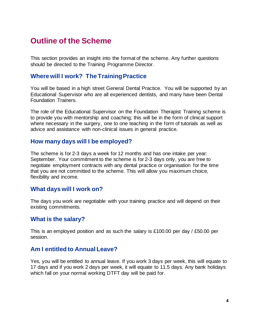## <span id="page-3-0"></span>**Outline of the Scheme**

This section provides an insight into the format of the scheme. Any further questions should be directed to the Training Programme Director.

#### **Where will I work? The Training Practice**

You will be based in a high street General Dental Practice. You will be supported by an Educational Supervisor who are all experienced dentists, and many have been Dental Foundation Trainers.

The role of the Educational Supervisor on the Foundation Therapist Training scheme is to provide you with mentorship and coaching; this will be in the form of clinical support where necessary in the surgery, one to one teaching in the form of tutorials as well as advice and assistance with non-clinical issues in general practice.

#### **How many days will I be employed?**

The scheme is for 2-3 days a week for 12 months and has one intake per year: September. Your commitment to the scheme is for 2-3 days only, you are free to negotiate employment contracts with any dental practice or organisation for the time that you are not committed to the scheme. This will allow you maximum choice, flexibility and income.

#### **What days will I work on?**

The days you work are negotiable with your training practice and will depend on their existing commitments.

#### **What is the salary?**

This is an employed position and as such the salary is £100.00 per day / £50.00 per session.

#### **Am I entitled to Annual Leave?**

Yes, you will be entitled to annual leave. If you work 3 days per week, this will equate to 17 days and if you work 2 days per week, it will equate to 11.5 days. Any bank holidays which fall on your normal working DTFT day will be paid for.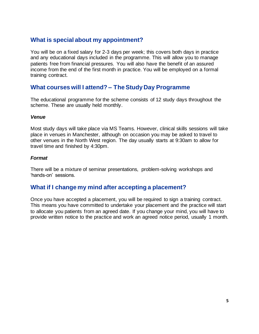#### **What is special about my appointment?**

You will be on a fixed salary for 2-3 days per week; this covers both days in practice and any educational days included in the programme. This will allow you to manage patients free from financial pressures. You will also have the benefit of an assured income from the end of the first month in practice. You will be employed on a formal training contract.

#### **What courses will I attend? – The Study Day Programme**

The educational programme for the scheme consists of 12 study days throughout the scheme. These are usually held monthly.

#### *Venue*

Most study days will take place via MS Teams. However, clinical skills sessions will take place in venues in Manchester, although on occasion you may be asked to travel to other venues in the North West region. The day usually starts at 9:30am to allow for travel time and finished by 4:30pm.

#### *Format*

There will be a mixture of seminar presentations, problem-solving workshops and 'hands-on' sessions.

#### **What if I change my mind after accepting a placement?**

Once you have accepted a placement, you will be required to sign a training contract. This means you have committed to undertake your placement and the practice will start to allocate you patients from an agreed date. If you change your mind, you will have to provide written notice to the practice and work an agreed notice period, usually 1 month.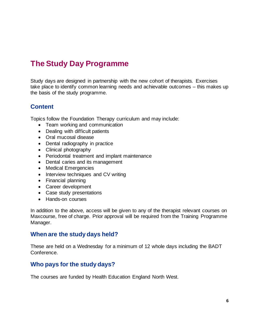## <span id="page-5-0"></span>**The Study Day Programme**

Study days are designed in partnership with the new cohort of therapists. Exercises take place to identify common learning needs and achievable outcomes – this makes up the basis of the study programme.

#### **Content**

Topics follow the Foundation Therapy curriculum and may include:

- Team working and communication
- Dealing with difficult patients
- Oral mucosal disease
- Dental radiography in practice
- Clinical photography
- Periodontal treatment and implant maintenance
- Dental caries and its management
- Medical Emergencies
- Interview techniques and CV writing
- Financial planning
- Career development
- Case study presentations
- Hands-on courses

In addition to the above, access will be given to any of the therapist relevant courses on Maxcourse, free of charge. Prior approval will be required from the Training Programme Manager.

#### **When are the study days held?**

These are held on a Wednesday for a minimum of 12 whole days including the BADT Conference.

#### **Who pays for the study days?**

The courses are funded by Health Education England North West.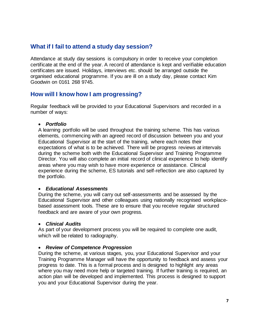#### **What if I fail to attend a study day session?**

Attendance at study day sessions is compulsory in order to receive your completion certificate at the end of the year. A record of attendance is kept and verifiable education certificates are issued. Holidays, interviews etc. should be arranged outside the organised educational programme. If you are ill on a study day, please contact Kim Goodwin on 0161 268 9745.

#### **How will I know how I am progressing?**

Regular feedback will be provided to your Educational Supervisors and recorded in a number of ways:

#### • *Portfolio*

A learning portfolio will be used throughout the training scheme. This has various elements, commencing with an agreed record of discussion between you and your Educational Supervisor at the start of the training, where each notes their expectations of what is to be achieved. There will be progress reviews at intervals during the scheme both with the Educational Supervisor and Training Programme Director. You will also complete an initial record of clinical experience to help identify areas where you may wish to have more experience or assistance. Clinical experience during the scheme, ES tutorials and self-reflection are also captured by the portfolio.

#### • *Educational Assessments*

During the scheme, you will carry out self-assessments and be assessed by the Educational Supervisor and other colleagues using nationally recognised workplacebased assessment tools. These are to ensure that you receive regular structured feedback and are aware of your own progress.

#### • *Clinical Audits*

As part of your development process you will be required to complete one audit, which will be related to radiography.

#### • *Review of Competence Progression*

During the scheme, at various stages, you, your Educational Supervisor and your Training Programme Manager will have the opportunity to feedback and assess your progress to date. This is a formal process and is designed to highlight any areas where you may need more help or targeted training. If further training is required, an action plan will be developed and implemented. This process is designed to support you and your Educational Supervisor during the year.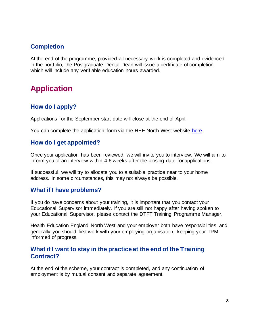#### **Completion**

At the end of the programme, provided all necessary work is completed and evidenced in the portfolio, the Postgraduate Dental Dean will issue a certificate of completion, which will include any verifiable education hours awarded.

## <span id="page-7-0"></span>**Application**

#### **How do I apply?**

Applications for the September start date will close at the end of April.

You can complete the application form via the HEE North West website [here.](https://www.nwpgmd.nhs.uk/dental-therapist-foundation-training-scheme)

#### **How do I get appointed?**

Once your application has been reviewed, we will invite you to interview. We will aim to inform you of an interview within 4-6 weeks after the closing date for applications.

If successful, we will try to allocate you to a suitable practice near to your home address. In some circumstances, this may not always be possible.

#### **What if I have problems?**

If you do have concerns about your training, it is important that you contact your Educational Supervisor immediately. If you are still not happy after having spoken to your Educational Supervisor, please contact the DTFT Training Programme Manager.

Health Education England North West and your employer both have responsibilities and generally you should first work with your employing organisation, keeping your TPM informed of progress.

#### **What if I want to stay in the practice at the end of the Training Contract?**

At the end of the scheme, your contract is completed, and any continuation of employment is by mutual consent and separate agreement.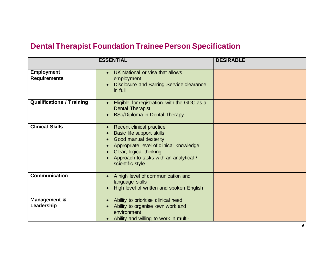## **Dental Therapist Foundation Trainee Person Specification**

<span id="page-8-0"></span>

|                                          | <b>ESSENTIAL</b>                                                                                                                                                                                                                                          | <b>DESIRABLE</b> |
|------------------------------------------|-----------------------------------------------------------------------------------------------------------------------------------------------------------------------------------------------------------------------------------------------------------|------------------|
| <b>Employment</b><br><b>Requirements</b> | UK National or visa that allows<br>$\bullet$<br>employment<br>Disclosure and Barring Service clearance<br>in full                                                                                                                                         |                  |
| <b>Qualifications / Training</b>         | Eligible for registration with the GDC as a<br><b>Dental Therapist</b><br><b>BSc/Diploma in Dental Therapy</b><br>$\bullet$                                                                                                                               |                  |
| <b>Clinical Skills</b>                   | Recent clinical practice<br>$\bullet$<br>Basic life support skills<br>Good manual dexterity<br>$\bullet$<br>Appropriate level of clinical knowledge<br>$\bullet$<br>Clear, logical thinking<br>Approach to tasks with an analytical /<br>scientific style |                  |
| <b>Communication</b>                     | A high level of communication and<br>$\bullet$<br>language skills<br>High level of written and spoken English<br>$\bullet$                                                                                                                                |                  |
| Management &<br>Leadership               | Ability to prioritise clinical need<br>Ability to organise own work and<br>environment<br>Ability and willing to work in multi-                                                                                                                           |                  |